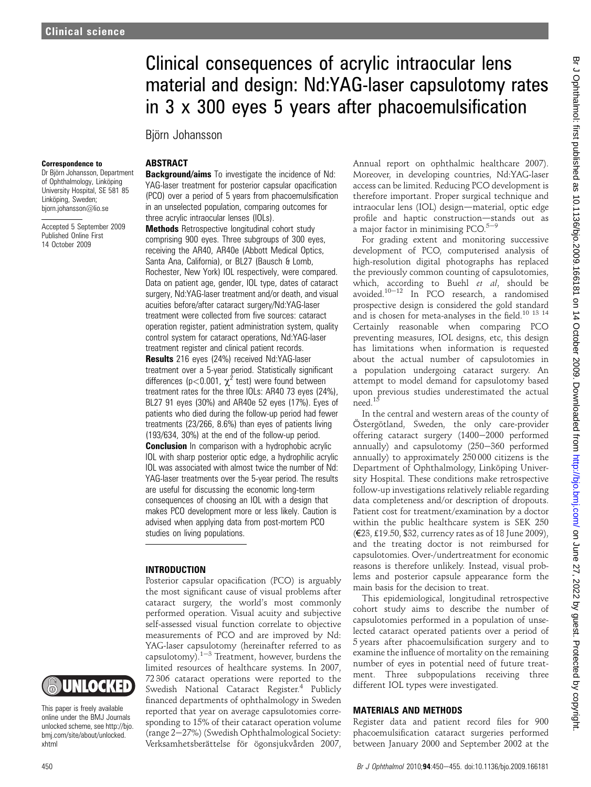# Clinical consequences of acrylic intraocular lens material and design: Nd:YAG-laser capsulotomy rates in 3 x 300 eyes 5 years after phacoemulsification

Björn Johansson

#### Correspondence to

Dr Björn Johansson, Department of Ophthalmology, Linköping University Hospital, SE 581 85 Linköping, Sweden; bjorn.johansson@lio.se

Accepted 5 September 2009 Published Online First 14 October 2009

# **ABSTRACT**

Background/aims To investigate the incidence of Nd: YAG-laser treatment for posterior capsular opacification (PCO) over a period of 5 years from phacoemulsification in an unselected population, comparing outcomes for three acrylic intraocular lenses (IOLs).

Methods Retrospective longitudinal cohort study comprising 900 eyes. Three subgroups of 300 eyes, receiving the AR40, AR40e (Abbott Medical Optics, Santa Ana, California), or BL27 (Bausch & Lomb, Rochester, New York) IOL respectively, were compared. Data on patient age, gender, IOL type, dates of cataract surgery, Nd:YAG-laser treatment and/or death, and visual acuities before/after cataract surgery/Nd:YAG-laser treatment were collected from five sources: cataract operation register, patient administration system, quality control system for cataract operations, Nd:YAG-laser treatment register and clinical patient records.

Results 216 eyes (24%) received Nd:YAG-laser treatment over a 5-year period. Statistically significant differences ( $p < 0.001$ ,  $\chi^2$  test) were found between treatment rates for the three IOLs: AR40 73 eyes (24%), BL27 91 eyes (30%) and AR40e 52 eyes (17%). Eyes of patients who died during the follow-up period had fewer treatments (23/266, 8.6%) than eyes of patients living (193/634, 30%) at the end of the follow-up period.

**Conclusion** In comparison with a hydrophobic acrylic IOL with sharp posterior optic edge, a hydrophilic acrylic IOL was associated with almost twice the number of Nd: YAG-laser treatments over the 5-year period. The results are useful for discussing the economic long-term consequences of choosing an IOL with a design that makes PCO development more or less likely. Caution is advised when applying data from post-mortem PCO studies on living populations.

#### INTRODUCTION

Posterior capsular opacification (PCO) is arguably the most significant cause of visual problems after cataract surgery, the world's most commonly performed operation. Visual acuity and subjective self-assessed visual function correlate to objective measurements of PCO and are improved by Nd: YAG-laser capsulotomy (hereinafter referred to as capsulotomy). $1-3$  Treatment, however, burdens the limited resources of healthcare systems. In 2007, 72 306 cataract operations were reported to the Swedish National Cataract Register.<sup>4</sup> Publicly financed departments of ophthalmology in Sweden reported that year on average capsulotomies corresponding to 15% of their cataract operation volume (range  $2-27%$ ) (Swedish Ophthalmological Society: Verksamhetsberättelse för ögonsjukvården 2007,

Annual report on ophthalmic healthcare 2007). Moreover, in developing countries, Nd:YAG-laser access can be limited. Reducing PCO development is therefore important. Proper surgical technique and intraocular lens (IOL) design-material, optic edge profile and haptic construction-stands out as a major factor in minimising PCO. $5-9$ 

For grading extent and monitoring successive development of PCO, computerised analysis of high-resolution digital photographs has replaced the previously common counting of capsulotomies, which, according to Buehl et al, should be avoided.<sup>10-12</sup> In PCO research, a randomised prospective design is considered the gold standard and is chosen for meta-analyses in the field.10 13 14 Certainly reasonable when comparing PCO preventing measures, IOL designs, etc, this design has limitations when information is requested about the actual number of capsulotomies in a population undergoing cataract surgery. An attempt to model demand for capsulotomy based upon previous studies underestimated the actual need.15

In the central and western areas of the county of Östergötland, Sweden, the only care-provider offering cataract surgery (1400-2000 performed annually) and capsulotomy (250-360 performed annually) to approximately 250 000 citizens is the Department of Ophthalmology, Linköping University Hospital. These conditions make retrospective follow-up investigations relatively reliable regarding data completeness and/or description of dropouts. Patient cost for treatment/examination by a doctor within the public healthcare system is SEK 250 (€23, £19.50, \$32, currency rates as of 18 June 2009), and the treating doctor is not reimbursed for capsulotomies. Over-/undertreatment for economic reasons is therefore unlikely. Instead, visual problems and posterior capsule appearance form the main basis for the decision to treat.

This epidemiological, longitudinal retrospective cohort study aims to describe the number of capsulotomies performed in a population of unselected cataract operated patients over a period of 5 years after phacoemulsification surgery and to examine the influence of mortality on the remaining number of eyes in potential need of future treatment. Three subpopulations receiving three different IOL types were investigated.

#### MATERIALS AND METHODS

Register data and patient record files for 900 phacoemulsification cataract surgeries performed between January 2000 and September 2002 at the



This paper is freely available online under the BMJ Journals unlocked scheme, see http://bjo. bmj.com/site/about/unlocked. xhtml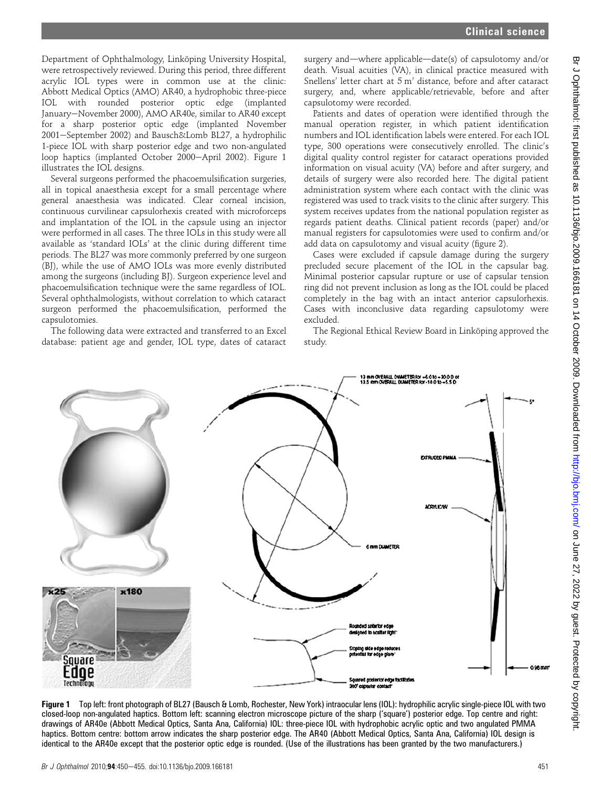Department of Ophthalmology, Linköping University Hospital, were retrospectively reviewed. During this period, three different acrylic IOL types were in common use at the clinic: Abbott Medical Optics (AMO) AR40, a hydrophobic three-piece IOL with rounded posterior optic edge (implanted January-November 2000), AMO AR40e, similar to AR40 except for a sharp posterior optic edge (implanted November 2001–September 2002) and Bausch&Lomb BL27, a hydrophilic 1-piece IOL with sharp posterior edge and two non-angulated loop haptics (implanted October 2000-April 2002). Figure 1 illustrates the IOL designs.

Several surgeons performed the phacoemulsification surgeries, all in topical anaesthesia except for a small percentage where general anaesthesia was indicated. Clear corneal incision, continuous curvilinear capsulorhexis created with microforceps and implantation of the IOL in the capsule using an injector were performed in all cases. The three IOLs in this study were all available as 'standard IOLs' at the clinic during different time periods. The BL27 was more commonly preferred by one surgeon (BJ), while the use of AMO IOLs was more evenly distributed among the surgeons (including BJ). Surgeon experience level and phacoemulsification technique were the same regardless of IOL. Several ophthalmologists, without correlation to which cataract surgeon performed the phacoemulsification, performed the capsulotomies.

The following data were extracted and transferred to an Excel database: patient age and gender, IOL type, dates of cataract

surgery and—where applicable—date(s) of capsulotomy and/or death. Visual acuities (VA), in clinical practice measured with Snellens' letter chart at 5 m' distance, before and after cataract surgery, and, where applicable/retrievable, before and after capsulotomy were recorded.

Patients and dates of operation were identified through the manual operation register, in which patient identification numbers and IOL identification labels were entered. For each IOL type, 300 operations were consecutively enrolled. The clinic's digital quality control register for cataract operations provided information on visual acuity (VA) before and after surgery, and details of surgery were also recorded here. The digital patient administration system where each contact with the clinic was registered was used to track visits to the clinic after surgery. This system receives updates from the national population register as regards patient deaths. Clinical patient records (paper) and/or manual registers for capsulotomies were used to confirm and/or add data on capsulotomy and visual acuity (figure 2).

Cases were excluded if capsule damage during the surgery precluded secure placement of the IOL in the capsular bag. Minimal posterior capsular rupture or use of capsular tension ring did not prevent inclusion as long as the IOL could be placed completely in the bag with an intact anterior capsulorhexis. Cases with inconclusive data regarding capsulotomy were excluded.

The Regional Ethical Review Board in Linköping approved the study.



Figure 1 Top left: front photograph of BL27 (Bausch & Lomb, Rochester, New York) intraocular lens (IOL): hydrophilic acrylic single-piece IOL with two closed-loop non-angulated haptics. Bottom left: scanning electron microscope picture of the sharp ('square') posterior edge. Top centre and right: drawings of AR40e (Abbott Medical Optics, Santa Ana, California) IOL: three-piece IOL with hydrophobic acrylic optic and two angulated PMMA haptics. Bottom centre: bottom arrow indicates the sharp posterior edge. The AR40 (Abbott Medical Optics, Santa Ana, California) IOL design is identical to the AR40e except that the posterior optic edge is rounded. (Use of the illustrations has been granted by the two manufacturers.)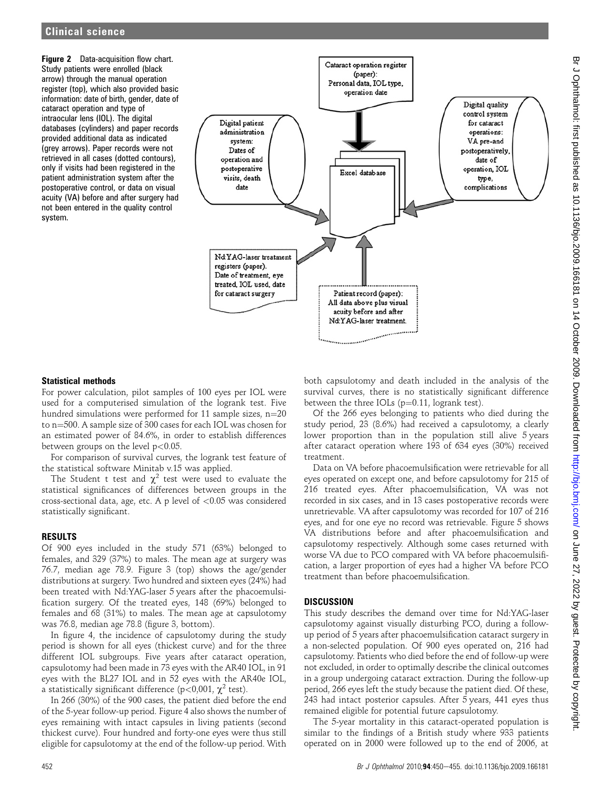Figure 2 Data-acquisition flow chart. Study patients were enrolled (black arrow) through the manual operation register (top), which also provided basic information: date of birth, gender, date of cataract operation and type of intraocular lens (IOL). The digital databases (cylinders) and paper records provided additional data as indicated (grey arrows). Paper records were not retrieved in all cases (dotted contours), only if visits had been registered in the patient administration system after the postoperative control, or data on visual acuity (VA) before and after surgery had not been entered in the quality control system.



## Statistical methods

For power calculation, pilot samples of 100 eyes per IOL were used for a computerised simulation of the logrank test. Five hundred simulations were performed for 11 sample sizes,  $n=20$ to n=500. A sample size of 300 cases for each IOL was chosen for an estimated power of 84.6%, in order to establish differences between groups on the level p<0.05.

For comparison of survival curves, the logrank test feature of the statistical software Minitab v.15 was applied.

The Student t test and  $\chi^2$  test were used to evaluate the statistical significances of differences between groups in the cross-sectional data, age, etc. A p level of <0.05 was considered statistically significant.

## RESULTS

Of 900 eyes included in the study 571 (63%) belonged to females, and 329 (37%) to males. The mean age at surgery was 76.7, median age 78.9. Figure 3 (top) shows the age/gender distributions at surgery. Two hundred and sixteen eyes (24%) had been treated with Nd:YAG-laser 5 years after the phacoemulsification surgery. Of the treated eyes, 148 (69%) belonged to females and 68 (31%) to males. The mean age at capsulotomy was 76.8, median age 78.8 (figure 3, bottom).

In figure 4, the incidence of capsulotomy during the study period is shown for all eyes (thickest curve) and for the three different IOL subgroups. Five years after cataract operation, capsulotomy had been made in 73 eyes with the AR40 IOL, in 91 eyes with the BL27 IOL and in 52 eyes with the AR40e IOL, a statistically significant difference (p<0,001,  $\chi^2$  test).

In 266 (30%) of the 900 cases, the patient died before the end of the 5-year follow-up period. Figure 4 also shows the number of eyes remaining with intact capsules in living patients (second thickest curve). Four hundred and forty-one eyes were thus still eligible for capsulotomy at the end of the follow-up period. With both capsulotomy and death included in the analysis of the survival curves, there is no statistically significant difference between the three IOLs  $(p=0.11,$  logrank test). Of the 266 eyes belonging to patients who died during the

study period, 23 (8.6%) had received a capsulotomy, a clearly lower proportion than in the population still alive 5 years after cataract operation where 193 of 634 eyes (30%) received treatment.

Data on VA before phacoemulsification were retrievable for all eyes operated on except one, and before capsulotomy for 215 of 216 treated eyes. After phacoemulsification, VA was not recorded in six cases, and in 13 cases postoperative records were unretrievable. VA after capsulotomy was recorded for 107 of 216 eyes, and for one eye no record was retrievable. Figure 5 shows VA distributions before and after phacoemulsification and capsulotomy respectively. Although some cases returned with worse VA due to PCO compared with VA before phacoemulsification, a larger proportion of eyes had a higher VA before PCO treatment than before phacoemulsification.

## **DISCUSSION**

This study describes the demand over time for Nd:YAG-laser capsulotomy against visually disturbing PCO, during a followup period of 5 years after phacoemulsification cataract surgery in a non-selected population. Of 900 eyes operated on, 216 had capsulotomy. Patients who died before the end of follow-up were not excluded, in order to optimally describe the clinical outcomes in a group undergoing cataract extraction. During the follow-up period, 266 eyes left the study because the patient died. Of these, 243 had intact posterior capsules. After 5 years, 441 eyes thus remained eligible for potential future capsulotomy.

The 5-year mortality in this cataract-operated population is similar to the findings of a British study where 933 patients operated on in 2000 were followed up to the end of 2006, at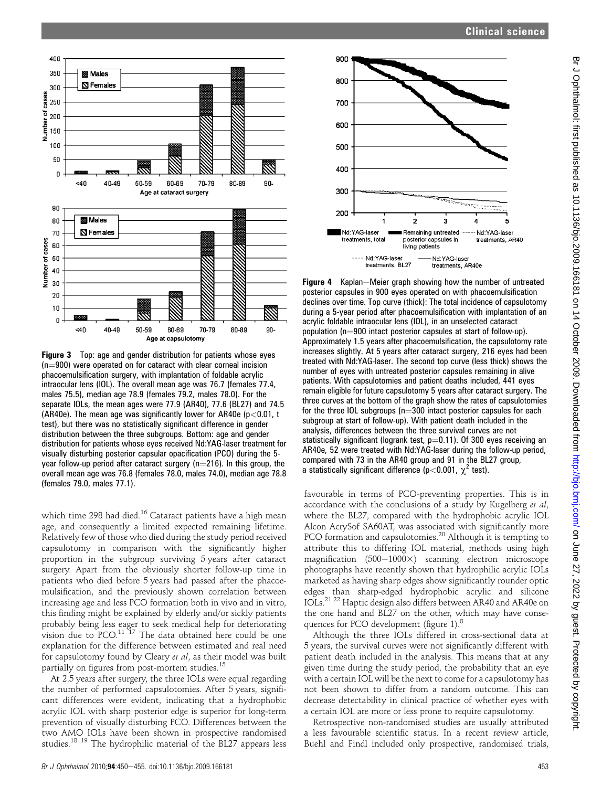



Figure 3 Top: age and gender distribution for patients whose eyes  $(n=900)$  were operated on for cataract with clear corneal incision phacoemulsification surgery, with implantation of foldable acrylic intraocular lens (IOL). The overall mean age was 76.7 (females 77.4, males 75.5), median age 78.9 (females 79.2, males 78.0). For the separate IOLs, the mean ages were 77.9 (AR40), 77.6 (BL27) and 74.5 (AR40e). The mean age was significantly lower for AR40e ( $p$  < 0.01, t test), but there was no statistically significant difference in gender distribution between the three subgroups. Bottom: age and gender distribution for patients whose eyes received Nd:YAG-laser treatment for visually disturbing posterior capsular opacification (PCO) during the 5 year follow-up period after cataract surgery ( $n=216$ ). In this group, the overall mean age was 76.8 (females 78.0, males 74.0), median age 78.8 (females 79.0, males 77.1).

which time 298 had died.<sup>16</sup> Cataract patients have a high mean age, and consequently a limited expected remaining lifetime. Relatively few of those who died during the study period received capsulotomy in comparison with the significantly higher proportion in the subgroup surviving 5 years after cataract surgery. Apart from the obviously shorter follow-up time in patients who died before 5 years had passed after the phacoemulsification, and the previously shown correlation between increasing age and less PCO formation both in vivo and in vitro, this finding might be explained by elderly and/or sickly patients probably being less eager to seek medical help for deteriorating vision due to  $PCO.<sup>11</sup>$  <sup>17</sup> The data obtained here could be one explanation for the difference between estimated and real need for capsulotomy found by Cleary et al, as their model was built partially on figures from post-mortem studies.<sup>15</sup>

At 2.5 years after surgery, the three IOLs were equal regarding the number of performed capsulotomies. After 5 years, significant differences were evident, indicating that a hydrophobic acrylic IOL with sharp posterior edge is superior for long-term prevention of visually disturbing PCO. Differences between the two AMO IOLs have been shown in prospective randomised studies.<sup>18</sup> <sup>19</sup> The hydrophilic material of the BL27 appears less



**Figure 4** Kaplan–Meier graph showing how the number of untreated posterior capsules in 900 eyes operated on with phacoemulsification declines over time. Top curve (thick): The total incidence of capsulotomy during a 5-year period after phacoemulsification with implantation of an acrylic foldable intraocular lens (IOL), in an unselected cataract population ( $n=900$  intact posterior capsules at start of follow-up). Approximately 1.5 years after phacoemulsification, the capsulotomy rate increases slightly. At 5 years after cataract surgery, 216 eyes had been treated with Nd:YAG-laser. The second top curve (less thick) shows the number of eyes with untreated posterior capsules remaining in alive patients. With capsulotomies and patient deaths included, 441 eyes remain eligible for future capsulotomy 5 years after cataract surgery. The three curves at the bottom of the graph show the rates of capsulotomies for the three IOL subgroups ( $n=300$  intact posterior capsules for each subgroup at start of follow-up). With patient death included in the analysis, differences between the three survival curves are not statistically significant (logrank test,  $p=0.11$ ). Of 300 eyes receiving an AR40e, 52 were treated with Nd:YAG-laser during the follow-up period, compared with 73 in the AR40 group and 91 in the BL27 group, a statistically significant difference ( $p$ <0.001,  $\chi^2$  test).

favourable in terms of PCO-preventing properties. This is in accordance with the conclusions of a study by Kugelberg et al, where the BL27, compared with the hydrophobic acrylic IOL Alcon AcrySof SA60AT, was associated with significantly more PCO formation and capsulotomies.<sup>20</sup> Although it is tempting to attribute this to differing IOL material, methods using high magnification  $(500-1000\times)$  scanning electron microscope photographs have recently shown that hydrophilic acrylic IOLs marketed as having sharp edges show significantly rounder optic edges than sharp-edged hydrophobic acrylic and silicone IOLs.21 22 Haptic design also differs between AR40 and AR40e on the one hand and BL27 on the other, which may have consequences for PCO development (figure 1).<sup>8</sup>

Although the three IOLs differed in cross-sectional data at 5 years, the survival curves were not significantly different with patient death included in the analysis. This means that at any given time during the study period, the probability that an eye with a certain IOL will be the next to come for a capsulotomy has not been shown to differ from a random outcome. This can decrease detectability in clinical practice of whether eyes with a certain IOL are more or less prone to require capsulotomy.

Retrospective non-randomised studies are usually attributed a less favourable scientific status. In a recent review article, Buehl and Findl included only prospective, randomised trials,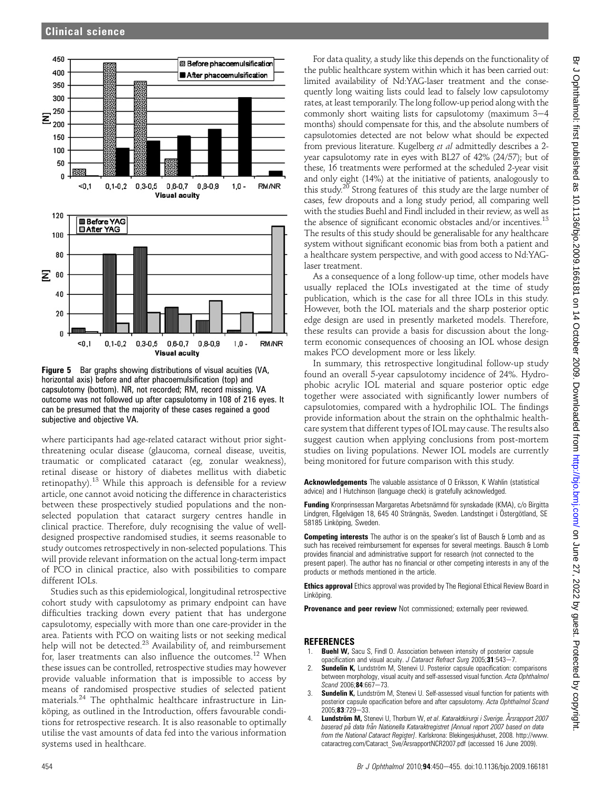

Figure 5 Bar graphs showing distributions of visual acuities (VA, horizontal axis) before and after phacoemulsification (top) and capsulotomy (bottom). NR, not recorded; RM, record missing. VA outcome was not followed up after capsulotomy in 108 of 216 eyes. It can be presumed that the majority of these cases regained a good subjective and objective VA.

where participants had age-related cataract without prior sightthreatening ocular disease (glaucoma, corneal disease, uveitis, traumatic or complicated cataract (eg, zonular weakness), retinal disease or history of diabetes mellitus with diabetic retinopathy).<sup>13</sup> While this approach is defensible for a review article, one cannot avoid noticing the difference in characteristics between these prospectively studied populations and the nonselected population that cataract surgery centres handle in clinical practice. Therefore, duly recognising the value of welldesigned prospective randomised studies, it seems reasonable to study outcomes retrospectively in non-selected populations. This will provide relevant information on the actual long-term impact of PCO in clinical practice, also with possibilities to compare different IOLs.

Studies such as this epidemiological, longitudinal retrospective cohort study with capsulotomy as primary endpoint can have difficulties tracking down every patient that has undergone capsulotomy, especially with more than one care-provider in the area. Patients with PCO on waiting lists or not seeking medical help will not be detected.<sup>23</sup> Availability of, and reimbursement for, laser treatments can also influence the outcomes.<sup>12</sup> When these issues can be controlled, retrospective studies may however provide valuable information that is impossible to access by means of randomised prospective studies of selected patient materials.<sup>24</sup> The ophthalmic healthcare infrastructure in Linköping, as outlined in the Introduction, offers favourable conditions for retrospective research. It is also reasonable to optimally utilise the vast amounts of data fed into the various information systems used in healthcare.

For data quality, a study like this depends on the functionality of the public healthcare system within which it has been carried out: limited availability of Nd:YAG-laser treatment and the consequently long waiting lists could lead to falsely low capsulotomy rates, at least temporarily. The long follow-up period along with the commonly short waiting lists for capsulotomy (maximum  $3-4$ months) should compensate for this, and the absolute numbers of capsulotomies detected are not below what should be expected from previous literature. Kugelberg et al admittedly describes a 2 year capsulotomy rate in eyes with BL27 of 42% (24/57); but of these, 16 treatments were performed at the scheduled 2-year visit and only eight (14%) at the initiative of patients, analogously to this study.<sup>20</sup> Strong features of this study are the large number of cases, few dropouts and a long study period, all comparing well with the studies Buehl and Findl included in their review, as well as the absence of significant economic obstacles and/or incentives.<sup>13</sup> The results of this study should be generalisable for any healthcare system without significant economic bias from both a patient and a healthcare system perspective, and with good access to Nd:YAGlaser treatment.

As a consequence of a long follow-up time, other models have usually replaced the IOLs investigated at the time of study publication, which is the case for all three IOLs in this study. However, both the IOL materials and the sharp posterior optic edge design are used in presently marketed models. Therefore, these results can provide a basis for discussion about the longterm economic consequences of choosing an IOL whose design makes PCO development more or less likely.

In summary, this retrospective longitudinal follow-up study found an overall 5-year capsulotomy incidence of 24%. Hydrophobic acrylic IOL material and square posterior optic edge together were associated with significantly lower numbers of capsulotomies, compared with a hydrophilic IOL. The findings provide information about the strain on the ophthalmic healthcare system that different types of IOL may cause. The results also suggest caution when applying conclusions from post-mortem studies on living populations. Newer IOL models are currently being monitored for future comparison with this study.

Acknowledgements The valuable assistance of O Eriksson, K Wahlin (statistical advice) and I Hutchinson (language check) is gratefully acknowledged.

Funding Kronprinsessan Margaretas Arbetsnämnd för synskadade (KMA), c/o Birgitta Lindgren, Fågelvägen 18, 645 40 Strängnäs, Sweden. Landstinget i Östergötland, SE 58185 Linköping, Sweden.

Competing interests The author is on the speaker's list of Bausch & Lomb and as such has received reimbursement for expenses for several meetings. Bausch & Lomb provides financial and administrative support for research (not connected to the present paper). The author has no financial or other competing interests in any of the products or methods mentioned in the article.

**Ethics approval** Ethics approval was provided by The Regional Ethical Review Board in Linköping

Provenance and peer review Not commissioned; externally peer reviewed.

#### **REFERENCES**

- **Buehl W.** Sacu S, Findl O. Association between intensity of posterior capsule opacification and visual acuity. J Cataract Refract Surg 2005;31:543-7.
- 2. Sundelin K, Lundström M, Stenevi U. Posterior capsule opacification: comparisons between morphology, visual acuity and self-assessed visual function. Acta Ophthalmol  $Scand$  2006; 84:667-73.
- 3. Sundelin K, Lundström M, Stenevi U. Self-assessed visual function for patients with posterior capsule opacification before and after capsulotomy. Acta Ophthalmol Scand 2005:83:729-33
- Lundström M, Stenevi U, Thorburn W, et al. Kataraktkirurgi i Sverige. Årsrapport 2007 baserad på data från Nationella Kataraktregistret [Annual report 2007 based on data from the National Cataract Register]. Karlskrona: Blekingesjukhuset, 2008. http://www. cataractreg.com/Cataract\_Sve/ArsrapportNCR2007.pdf (accessed 16 June 2009).